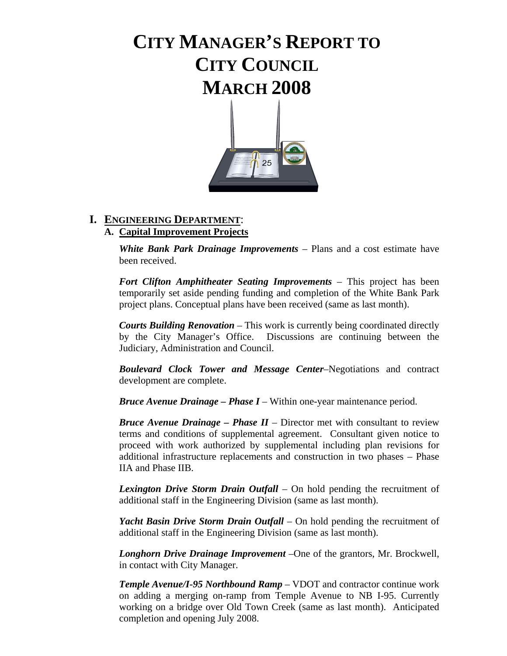# **CITY MANAGER'S REPORT TO CITY COUNCIL MARCH 2008**



# **I. ENGINEERING DEPARTMENT**:

# **A. Capital Improvement Projects**

 *White Bank Park Drainage Improvements* – Plans and a cost estimate have been received.

 *Fort Clifton Amphitheater Seating Improvements* – This project has been temporarily set aside pending funding and completion of the White Bank Park project plans. Conceptual plans have been received (same as last month).

 *Courts Building Renovation* – This work is currently being coordinated directly by the City Manager's Office. Discussions are continuing between the Judiciary, Administration and Council.

 *Boulevard Clock Tower and Message Center*–Negotiations and contract development are complete.

 *Bruce Avenue Drainage – Phase I* – Within one-year maintenance period.

 *Bruce Avenue Drainage – Phase II* – Director met with consultant to review terms and conditions of supplemental agreement. Consultant given notice to proceed with work authorized by supplemental including plan revisions for additional infrastructure replacements and construction in two phases – Phase IIA and Phase IIB.

 *Lexington Drive Storm Drain Outfall* – On hold pending the recruitment of additional staff in the Engineering Division (same as last month).

 *Yacht Basin Drive Storm Drain Outfall* – On hold pending the recruitment of additional staff in the Engineering Division (same as last month).

 *Longhorn Drive Drainage Improvement* –One of the grantors, Mr. Brockwell, in contact with City Manager.

 *Temple Avenue/I-95 Northbound Ramp* – VDOT and contractor continue work on adding a merging on-ramp from Temple Avenue to NB I-95. Currently working on a bridge over Old Town Creek (same as last month). Anticipated completion and opening July 2008.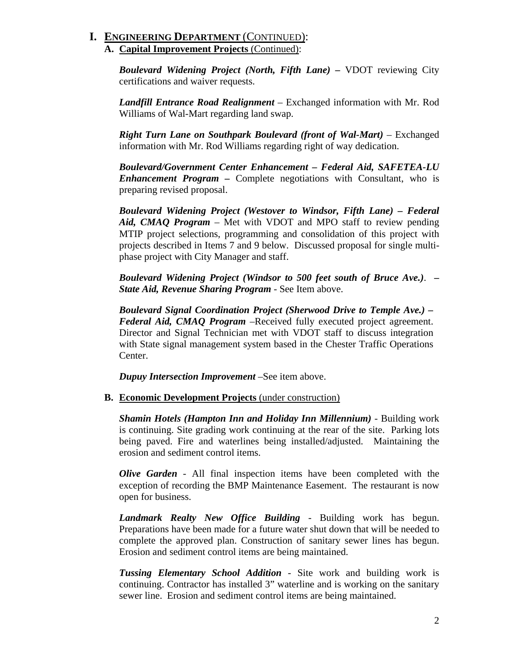### **I. ENGINEERING DEPARTMENT** (CONTINUED): **A. Capital Improvement Projects** (Continued):

 *Boulevard Widening Project (North, Fifth Lane) –* VDOT reviewing City certifications and waiver requests.

 *Landfill Entrance Road Realignment* – Exchanged information with Mr. Rod Williams of Wal-Mart regarding land swap.

 *Right Turn Lane on Southpark Boulevard (front of Wal-Mart)* – Exchanged information with Mr. Rod Williams regarding right of way dedication.

 *Boulevard/Government Center Enhancement – Federal Aid, SAFETEA-LU Enhancement Program –* Complete negotiations with Consultant, who is preparing revised proposal.

 *Boulevard Widening Project (Westover to Windsor, Fifth Lane) – Federal Aid, CMAQ Program* – Met with VDOT and MPO staff to review pending MTIP project selections, programming and consolidation of this project with projects described in Items 7 and 9 below. Discussed proposal for single multi phase project with City Manager and staff.

 *Boulevard Widening Project (Windsor to 500 feet south of Bruce Ave.)*. *– State Aid, Revenue Sharing Program* - See Item above.

 *Boulevard Signal Coordination Project (Sherwood Drive to Temple Ave.) – Federal Aid, CMAQ Program* –Received fully executed project agreement. Director and Signal Technician met with VDOT staff to discuss integration with State signal management system based in the Chester Traffic Operations Center.

 *Dupuy Intersection Improvement* –See item above.

**B. Economic Development Projects** (under construction)

*Shamin Hotels (Hampton Inn and Holiday Inn Millennium)* - Building work is continuing. Site grading work continuing at the rear of the site. Parking lots being paved. Fire and waterlines being installed/adjusted. Maintaining the erosion and sediment control items.

 *Olive Garden* - All final inspection items have been completed with the exception of recording the BMP Maintenance Easement. The restaurant is now open for business.

 *Landmark Realty New Office Building* - Building work has begun. Preparations have been made for a future water shut down that will be needed to complete the approved plan. Construction of sanitary sewer lines has begun. Erosion and sediment control items are being maintained.

 *Tussing Elementary School Addition* - Site work and building work is continuing. Contractor has installed 3" waterline and is working on the sanitary sewer line. Erosion and sediment control items are being maintained.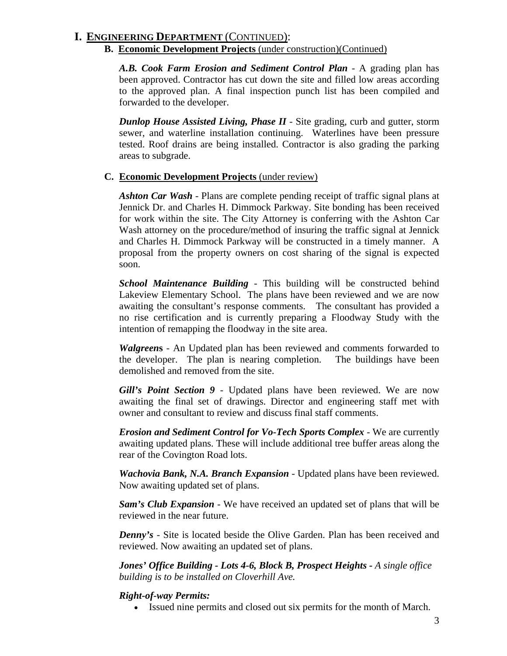### **I. ENGINEERING DEPARTMENT** (CONTINUED):

#### **B. Economic Development Projects** (under construction)(Continued)

 *A.B. Cook Farm Erosion and Sediment Control Plan* - A grading plan has been approved. Contractor has cut down the site and filled low areas according to the approved plan. A final inspection punch list has been compiled and forwarded to the developer.

 *Dunlop House Assisted Living, Phase II* - Site grading, curb and gutter, storm sewer, and waterline installation continuing. Waterlines have been pressure tested. Roof drains are being installed. Contractor is also grading the parking areas to subgrade.

#### **C. Economic Development Projects** (under review)

*Ashton Car Wash* - Plans are complete pending receipt of traffic signal plans at Jennick Dr. and Charles H. Dimmock Parkway. Site bonding has been received for work within the site. The City Attorney is conferring with the Ashton Car Wash attorney on the procedure/method of insuring the traffic signal at Jennick and Charles H. Dimmock Parkway will be constructed in a timely manner. A proposal from the property owners on cost sharing of the signal is expected soon.

*School Maintenance Building* - This building will be constructed behind Lakeview Elementary School. The plans have been reviewed and we are now awaiting the consultant's response comments. The consultant has provided a no rise certification and is currently preparing a Floodway Study with the intention of remapping the floodway in the site area.

*Walgreen***s** - An Updated plan has been reviewed and comments forwarded to the developer. The plan is nearing completion. The buildings have been demolished and removed from the site.

 *Gill's Point Section 9* - Updated plans have been reviewed. We are now awaiting the final set of drawings. Director and engineering staff met with owner and consultant to review and discuss final staff comments.

 *Erosion and Sediment Control for Vo-Tech Sports Complex* - We are currently awaiting updated plans. These will include additional tree buffer areas along the rear of the Covington Road lots.

 *Wachovia Bank, N.A. Branch Expansion* - Updated plans have been reviewed. Now awaiting updated set of plans.

*Sam's Club Expansion* - We have received an updated set of plans that will be reviewed in the near future.

*Denny's* - Site is located beside the Olive Garden. Plan has been received and reviewed. Now awaiting an updated set of plans.

 *Jones' Office Building - Lots 4-6, Block B, Prospect Heights - A single office building is to be installed on Cloverhill Ave.* 

#### *Right-of-way Permits:*

• Issued nine permits and closed out six permits for the month of March.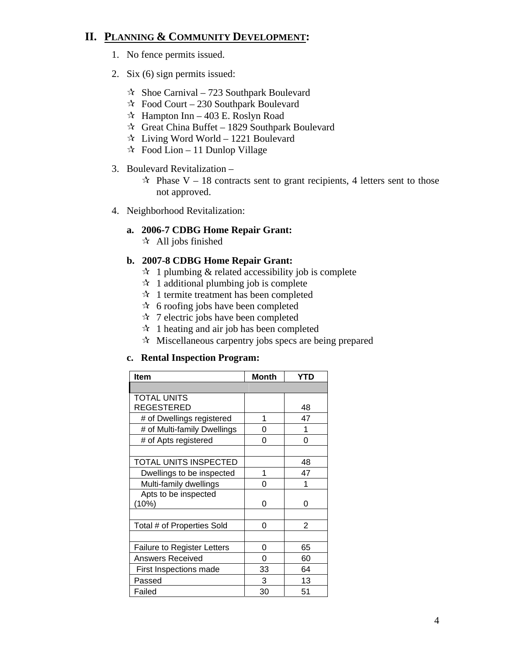# **II. PLANNING & COMMUNITY DEVELOPMENT:**

- 1. No fence permits issued.
- 2. Six (6) sign permits issued:
	- $\approx$  Shoe Carnival 723 Southpark Boulevard
	- $\approx$  Food Court 230 Southpark Boulevard
	- $\approx$  Hampton Inn 403 E. Roslyn Road
	- $\approx$  Great China Buffet 1829 Southpark Boulevard
	- $\star$  Living Word World 1221 Boulevard
	- $\approx$  Food Lion 11 Dunlop Village
- 3. Boulevard Revitalization
	- $\approx$  Phase V 18 contracts sent to grant recipients, 4 letters sent to those not approved.
- 4. Neighborhood Revitalization:

#### **a. 2006-7 CDBG Home Repair Grant:**

 $\star$  All jobs finished

#### **b. 2007-8 CDBG Home Repair Grant:**

- $\mathcal{R}$  1 plumbing & related accessibility job is complete
- $\approx$  1 additional plumbing job is complete
- $\mathcal{A}$  1 termite treatment has been completed
- $\star$  6 roofing jobs have been completed
- $\star$  7 electric jobs have been completed
- $\hat{x}$  1 heating and air job has been completed
- $\mathcal{R}$  Miscellaneous carpentry jobs specs are being prepared

#### **c. Rental Inspection Program:**

| <b>Item</b>                        | <b>Month</b> | YTD |
|------------------------------------|--------------|-----|
|                                    |              |     |
| <b>TOTAL UNITS</b>                 |              |     |
| REGESTERED                         |              | 48  |
| # of Dwellings registered          | 1            | 47  |
| # of Multi-family Dwellings        | 0            |     |
| # of Apts registered               | 0            | 0   |
|                                    |              |     |
| TOTAL UNITS INSPECTED              |              | 48  |
| Dwellings to be inspected          | 1            | 47  |
| Multi-family dwellings             | 0            | 1   |
| Apts to be inspected               |              |     |
| (10%)                              | ი            | ი   |
|                                    |              |     |
| Total # of Properties Sold         | 0            | 2   |
|                                    |              |     |
| <b>Failure to Register Letters</b> | 0            | 65  |
| <b>Answers Received</b>            | 0            | 60  |
| First Inspections made             | 33           | 64  |
| Passed                             | 3            | 13  |
| Failed                             | 30           | 51  |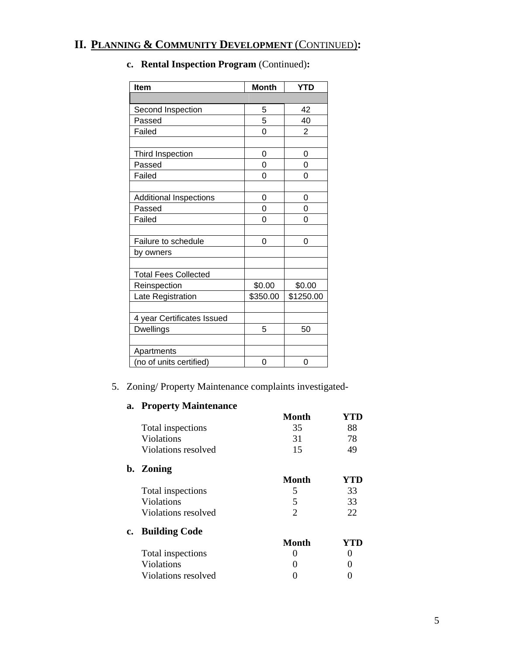# **II. PLANNING & COMMUNITY DEVELOPMENT** (CONTINUED)**:**

| <b>Item</b>                 | <b>Month</b> | <b>YTD</b> |
|-----------------------------|--------------|------------|
|                             |              |            |
| Second Inspection           | 5            | 42         |
| Passed                      | 5            | 40         |
| Failed                      | 0            | 2          |
|                             |              |            |
| Third Inspection            | 0            | 0          |
| Passed                      | 0            | 0          |
| Failed                      | 0            | 0          |
|                             |              |            |
| Additional Inspections      | 0            | 0          |
| Passed                      | 0            | 0          |
| Failed                      | 0            | 0          |
|                             |              |            |
| Failure to schedule         | 0            | 0          |
| by owners                   |              |            |
|                             |              |            |
| <b>Total Fees Collected</b> |              |            |
| Reinspection                | \$0.00       | \$0.00     |
| Late Registration           | \$350.00     | \$1250.00  |
|                             |              |            |
| 4 year Certificates Issued  |              |            |
| <b>Dwellings</b>            | 5            | 50         |
|                             |              |            |
| Apartments                  |              |            |
| (no of units certified)     | 0            | 0          |

# **c. Rental Inspection Program** (Continued)**:**

### 5. Zoning/ Property Maintenance complaints investigated-

### **a. Property Maintenance**

|                     | <b>Month</b>   | YTD |
|---------------------|----------------|-----|
| Total inspections   | 35             | 88  |
| <b>Violations</b>   | 31             | 78  |
| Violations resolved | 15             | 49  |
| b. Zoning           |                |     |
|                     | <b>Month</b>   | YTD |
| Total inspections   | 5              | 33  |
| Violations          | 5              | 33  |
| Violations resolved | $\overline{2}$ | 22  |
| c. Building Code    |                |     |
|                     | <b>Month</b>   | YTD |
| Total inspections   | 0              |     |
| Violations          |                |     |
| Violations resolved |                |     |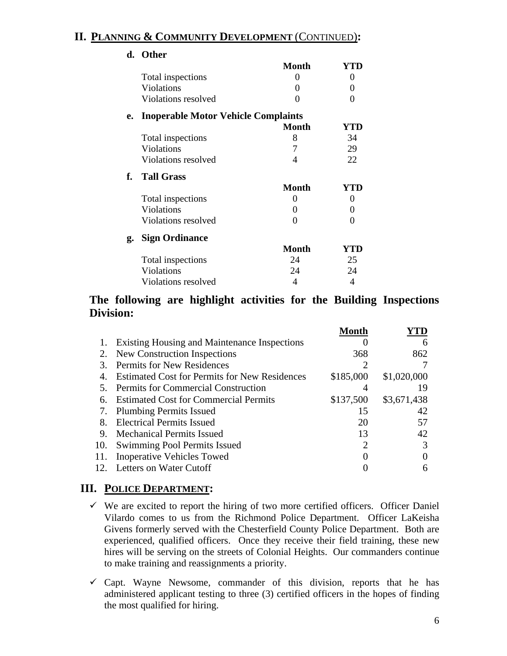# **II. PLANNING & COMMUNITY DEVELOPMENT** (CONTINUED)**:**

|    | d. Other                                   |                   |          |
|----|--------------------------------------------|-------------------|----------|
|    |                                            | <b>Month</b>      | YTD      |
|    | Total inspections                          | 0                 | 0        |
|    | Violations                                 | $\mathbf{\Omega}$ | $\theta$ |
|    | Violations resolved                        | $\mathbf{\Omega}$ | $\Omega$ |
| e. | <b>Inoperable Motor Vehicle Complaints</b> |                   |          |
|    |                                            | <b>Month</b>      | YTD      |
|    | Total inspections                          | 8                 | 34       |
|    | Violations                                 | 7                 | 29       |
|    | Violations resolved                        | 4                 | 22       |
| f. | <b>Tall Grass</b>                          |                   |          |
|    |                                            | <b>Month</b>      | YTD      |
|    | Total inspections                          | 0                 | $\theta$ |
|    | Violations                                 | 0                 | 0        |
|    | Violations resolved                        | 0                 | 0        |
| g. | <b>Sign Ordinance</b>                      |                   |          |
|    |                                            | <b>Month</b>      | YTD      |
|    | Total inspections                          | 24                | 25       |
|    | <b>Violations</b>                          | 24                | 24       |
|    | Violations resolved                        | 4                 | 4        |
|    |                                            |                   |          |

# **The following are highlight activities for the Building Inspections Division:**

|     |                                                      | Month     |             |
|-----|------------------------------------------------------|-----------|-------------|
|     | <b>Existing Housing and Maintenance Inspections</b>  |           | 6           |
| 2.  | New Construction Inspections                         | 368       | 862         |
| 3.  | <b>Permits for New Residences</b>                    |           |             |
| 4.  | <b>Estimated Cost for Permits for New Residences</b> | \$185,000 | \$1,020,000 |
| 5.  | Permits for Commercial Construction                  |           | 19          |
| 6.  | <b>Estimated Cost for Commercial Permits</b>         | \$137,500 | \$3,671,438 |
| 7.  | <b>Plumbing Permits Issued</b>                       | 15        | 42          |
| 8.  | <b>Electrical Permits Issued</b>                     | 20        | 57          |
| 9.  | <b>Mechanical Permits Issued</b>                     | 13        | 42          |
| 10. | Swimming Pool Permits Issued                         | 2         |             |
| 11. | <b>Inoperative Vehicles Towed</b>                    |           |             |
|     | 12. Letters on Water Cutoff                          |           |             |
|     |                                                      |           |             |

# **III. POLICE DEPARTMENT:**

- $\checkmark$  We are excited to report the hiring of two more certified officers. Officer Daniel Vilardo comes to us from the Richmond Police Department. Officer LaKeisha Givens formerly served with the Chesterfield County Police Department. Both are experienced, qualified officers. Once they receive their field training, these new hires will be serving on the streets of Colonial Heights. Our commanders continue to make training and reassignments a priority.
- $\checkmark$  Capt. Wayne Newsome, commander of this division, reports that he has administered applicant testing to three (3) certified officers in the hopes of finding the most qualified for hiring.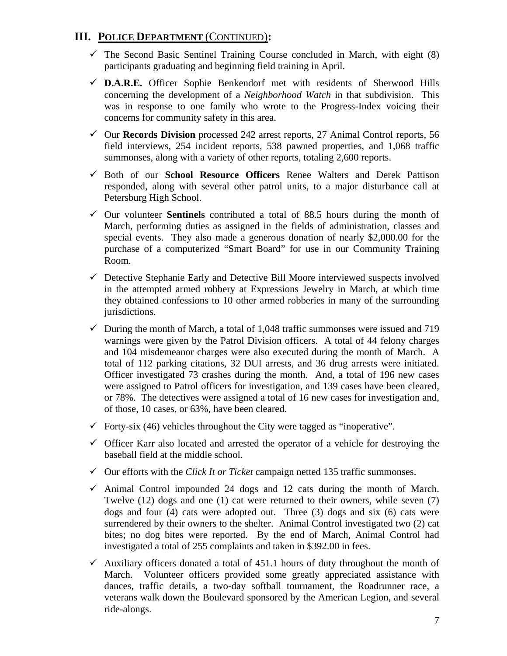# **III. POLICE DEPARTMENT** (CONTINUED)**:**

- $\checkmark$  The Second Basic Sentinel Training Course concluded in March, with eight (8) participants graduating and beginning field training in April.
- 9 **D.A.R.E.** Officer Sophie Benkendorf met with residents of Sherwood Hills concerning the development of a *Neighborhood Watch* in that subdivision. This was in response to one family who wrote to the Progress-Index voicing their concerns for community safety in this area.
- 9 Our **Records Division** processed 242 arrest reports, 27 Animal Control reports, 56 field interviews, 254 incident reports, 538 pawned properties, and 1,068 traffic summonses, along with a variety of other reports, totaling 2,600 reports.
- 9 Both of our **School Resource Officers** Renee Walters and Derek Pattison responded, along with several other patrol units, to a major disturbance call at Petersburg High School.
- $\checkmark$  Our volunteer **Sentinels** contributed a total of 88.5 hours during the month of March, performing duties as assigned in the fields of administration, classes and special events. They also made a generous donation of nearly \$2,000.00 for the purchase of a computerized "Smart Board" for use in our Community Training Room.
- $\checkmark$  Detective Stephanie Early and Detective Bill Moore interviewed suspects involved in the attempted armed robbery at Expressions Jewelry in March, at which time they obtained confessions to 10 other armed robberies in many of the surrounding jurisdictions.
- $\checkmark$  During the month of March, a total of 1,048 traffic summonses were issued and 719 warnings were given by the Patrol Division officers. A total of 44 felony charges and 104 misdemeanor charges were also executed during the month of March. A total of 112 parking citations, 32 DUI arrests, and 36 drug arrests were initiated. Officer investigated 73 crashes during the month. And, a total of 196 new cases were assigned to Patrol officers for investigation, and 139 cases have been cleared, or 78%. The detectives were assigned a total of 16 new cases for investigation and, of those, 10 cases, or 63%, have been cleared.
- $\checkmark$  Forty-six (46) vehicles throughout the City were tagged as "inoperative".
- $\checkmark$  Officer Karr also located and arrested the operator of a vehicle for destroying the baseball field at the middle school.
- $\checkmark$  Our efforts with the *Click It or Ticket* campaign netted 135 traffic summonses.
- $\checkmark$  Animal Control impounded 24 dogs and 12 cats during the month of March. Twelve (12) dogs and one (1) cat were returned to their owners, while seven (7) dogs and four (4) cats were adopted out. Three (3) dogs and six (6) cats were surrendered by their owners to the shelter. Animal Control investigated two (2) cat bites; no dog bites were reported. By the end of March, Animal Control had investigated a total of 255 complaints and taken in \$392.00 in fees.
- $\checkmark$  Auxiliary officers donated a total of 451.1 hours of duty throughout the month of March. Volunteer officers provided some greatly appreciated assistance with dances, traffic details, a two-day softball tournament, the Roadrunner race, a veterans walk down the Boulevard sponsored by the American Legion, and several ride-alongs.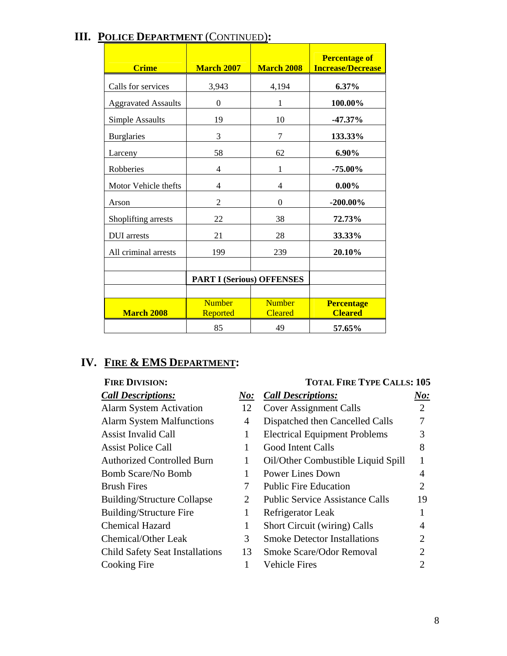| <b>Crime</b>               | <b>March 2007</b>                | <b>March 2008</b>               | <b>Percentage of</b><br><b>Increase/Decrease</b> |
|----------------------------|----------------------------------|---------------------------------|--------------------------------------------------|
| Calls for services         | 3,943                            | 4,194                           | 6.37%                                            |
| <b>Aggravated Assaults</b> | 0                                | 1                               | 100.00%                                          |
| <b>Simple Assaults</b>     | 19                               | 10                              | $-47.37%$                                        |
| <b>Burglaries</b>          | 3                                | 7                               | 133.33%                                          |
| Larceny                    | 58                               | 62                              | 6.90%                                            |
| Robberies                  | 4                                | 1                               | $-75.00\%$                                       |
| Motor Vehicle thefts       | 4                                | 4                               | $0.00\%$                                         |
| Arson                      | $\overline{c}$                   | $\Omega$                        | $-200.00\%$                                      |
| Shoplifting arrests        | 22                               | 38                              | 72.73%                                           |
| <b>DUI</b> arrests         | 21                               | 28                              | 33.33%                                           |
| All criminal arrests       | 199                              | 239                             | 20.10%                                           |
|                            |                                  |                                 |                                                  |
|                            | <b>PART I (Serious) OFFENSES</b> |                                 |                                                  |
| <b>March 2008</b>          | <b>Number</b><br>Reported        | <b>Number</b><br><b>Cleared</b> | <b>Percentage</b><br><b>Cleared</b>              |
|                            | 85                               | 49                              | 57.65%                                           |

# **III. POLICE DEPARTMENT** (CONTINUED)**:**

# **IV. FIRE & EMS DEPARTMENT:**

## FIRE DIVISION: TOTAL FIRE TYPE CALLS: 105

# *Call Descriptions: No: Call Descriptions: No:* Alarm System Activation 12 Cover Assignment Calls 2 Alarm System Malfunctions 4 Dispatched then Cancelled Calls 7 Assist Invalid Call 1 Electrical Equipment Problems 3 Assist Police Call 1 Good Intent Calls 8 Authorized Controlled Burn 1 Oil/Other Combustible Liquid Spill 1 Bomb Scare/No Bomb 1 Power Lines Down 4 Brush Fires 2 2 Building/Structure Collapse 2 Public Service Assistance Calls 19 Building/Structure Fire 1 Refrigerator Leak 1 Chemical Hazard 1 Short Circuit (wiring) Calls 4 Chemical/Other Leak 3 Smoke Detector Installations 2 Child Safety Seat Installations 13 Smoke Scare/Odor Removal 2 Cooking Fire 1 Vehicle Fires 2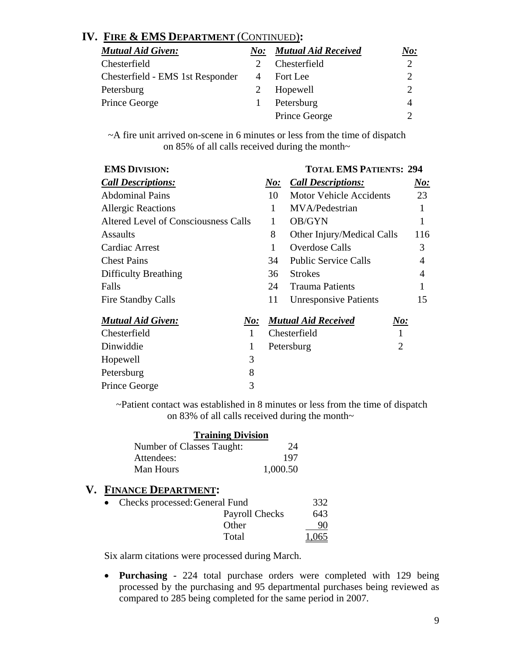# **IV. FIRE & EMS DEPARTMENT** (CONTINUED)**:**

| <b>Mutual Aid Given:</b>         | $N$ o:         | <b>Mutual Aid Received</b> | <u>No:</u>                  |
|----------------------------------|----------------|----------------------------|-----------------------------|
| Chesterfield                     |                | Chesterfield               | $\mathcal{D}_{\mathcal{L}}$ |
| Chesterfield - EMS 1st Responder | $\overline{A}$ | Fort Lee                   | 2                           |
| Petersburg                       |                | Hopewell                   | $\mathcal{D}$               |
| Prince George                    |                | Petersburg                 | 4                           |
|                                  |                | Prince George              | ◠                           |

~A fire unit arrived on-scene in 6 minutes or less from the time of dispatch on 85% of all calls received during the month~

| <b>EMS DIVISION:</b>                 |     |      | <b>TOTAL EMS PATIENTS: 294</b>         |                |
|--------------------------------------|-----|------|----------------------------------------|----------------|
| <b>Call Descriptions:</b>            |     | N o: | <b>Call Descriptions:</b>              | N o:           |
| <b>Abdominal Pains</b>               |     | 10   | <b>Motor Vehicle Accidents</b>         | 23             |
| <b>Allergic Reactions</b>            |     | 1    | MVA/Pedestrian                         | 1              |
| Altered Level of Consciousness Calls |     |      | OB/GYN                                 |                |
| Assaults                             |     | 8    | Other Injury/Medical Calls             | 116            |
| Cardiac Arrest                       |     | 1    | Overdose Calls                         | 3              |
| <b>Chest Pains</b>                   |     | 34   | <b>Public Service Calls</b>            | 4              |
| <b>Difficulty Breathing</b>          |     | 36   | <b>Strokes</b>                         | $\overline{4}$ |
| Falls                                |     | 24   | <b>Trauma Patients</b>                 |                |
| <b>Fire Standby Calls</b>            |     | 11   | <b>Unresponsive Patients</b>           | 15             |
| <b>Mutual Aid Given:</b>             | No: |      | <b>Mutual Aid Received</b><br>$N\!o$ : |                |
| Chesterfield                         | 1   |      | Chesterfield                           |                |
| Dinwiddie                            | 1   |      | 2<br>Petersburg                        |                |
| Hopewell                             | 3   |      |                                        |                |

~Patient contact was established in 8 minutes or less from the time of dispatch on 83% of all calls received during the month~

| <b>Training Division</b>  |          |
|---------------------------|----------|
| Number of Classes Taught: | 24       |
| Attendees:                | 197      |
| Man Hours                 | 1,000.50 |

# **V. FINANCE DEPARTMENT:**

Petersburg 8 Prince George 3

| • Checks processed: General Fund | 332   |
|----------------------------------|-------|
| Payroll Checks                   | 643.  |
| Other                            | 90    |
| Total                            | 1,065 |

Six alarm citations were processed during March.

• **Purchasing -** 224 total purchase orders were completed with 129 being processed by the purchasing and 95 departmental purchases being reviewed as compared to 285 being completed for the same period in 2007.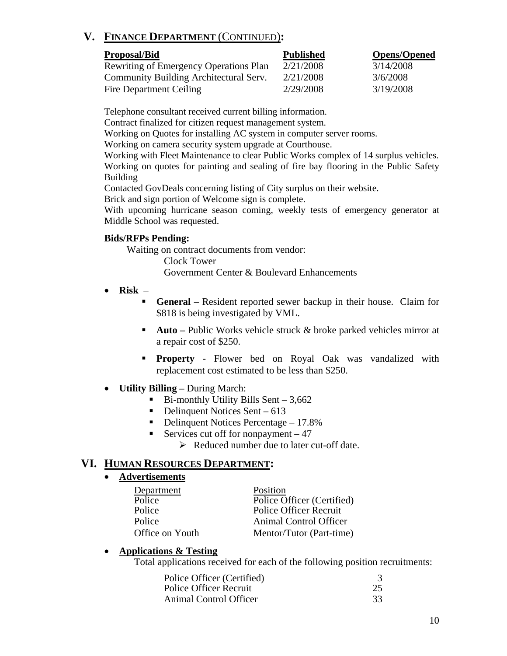# **V. FINANCE DEPARTMENT** (CONTINUED)**:**

| <b>Proposal/Bid</b>                           | <b>Published</b> | <b>Opens/Opened</b> |
|-----------------------------------------------|------------------|---------------------|
| <b>Rewriting of Emergency Operations Plan</b> | 2/21/2008        | 3/14/2008           |
| Community Building Architectural Serv.        | 2/21/2008        | 3/6/2008            |
| Fire Department Ceiling                       | 2/29/2008        | 3/19/2008           |

Telephone consultant received current billing information.

Contract finalized for citizen request management system.

Working on Quotes for installing AC system in computer server rooms.

Working on camera security system upgrade at Courthouse.

 Working with Fleet Maintenance to clear Public Works complex of 14 surplus vehicles. Working on quotes for painting and sealing of fire bay flooring in the Public Safety Building

Contacted GovDeals concerning listing of City surplus on their website.

Brick and sign portion of Welcome sign is complete.

With upcoming hurricane season coming, weekly tests of emergency generator at Middle School was requested.

#### **Bids/RFPs Pending:**

Waiting on contract documents from vendor:

Clock Tower

Government Center & Boulevard Enhancements

- **Risk** 
	- **General** Resident reported sewer backup in their house. Claim for \$818 is being investigated by VML.
	- **Auto** Public Works vehicle struck & broke parked vehicles mirror at a repair cost of \$250.
	- **Property** Flower bed on Royal Oak was vandalized with replacement cost estimated to be less than \$250.
- **Utility Billing** During March:
	- $\blacksquare$  Bi-monthly Utility Bills Sent 3,662
	- $\blacksquare$  Delinquent Notices Sent 613
	- Delinquent Notices Percentage  $-17.8\%$
	- Services cut off for nonpayment  $-47$

 $\triangleright$  Reduced number due to later cut-off date.

## **VI. HUMAN RESOURCES DEPARTMENT:**

#### • **Advertisements**

| Department      | Position                      |
|-----------------|-------------------------------|
| Police          | Police Officer (Certified)    |
| Police          | <b>Police Officer Recruit</b> |
| Police          | Animal Control Officer        |
| Office on Youth | Mentor/Tutor (Part-time)      |

## • **Applications & Testing**

Total applications received for each of the following position recruitments:

| Police Officer (Certified)    |    |
|-------------------------------|----|
| <b>Police Officer Recruit</b> | 25 |
| Animal Control Officer        | 33 |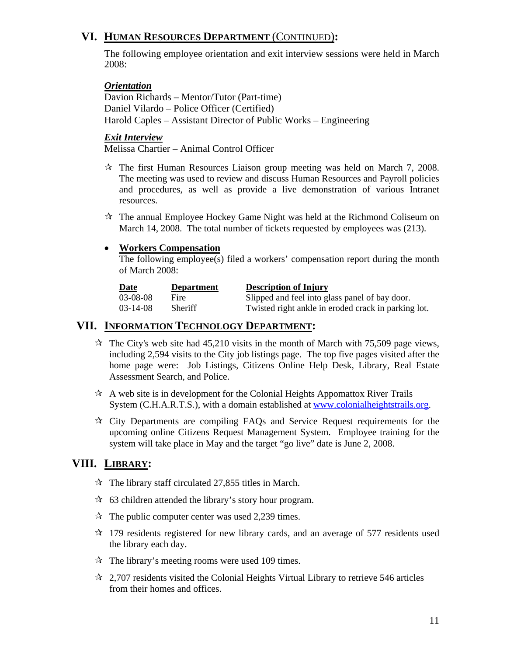# **VI. HUMAN RESOURCES DEPARTMENT** (CONTINUED)**:**

The following employee orientation and exit interview sessions were held in March 2008:

#### *Orientation*

 Davion Richards – Mentor/Tutor (Part-time) Daniel Vilardo – Police Officer (Certified) Harold Caples – Assistant Director of Public Works – Engineering

#### *Exit Interview*

Melissa Chartier – Animal Control Officer

- $\mathcal{R}$  The first Human Resources Liaison group meeting was held on March 7, 2008. The meeting was used to review and discuss Human Resources and Payroll policies and procedures, as well as provide a live demonstration of various Intranet resources.
- $\mathcal{R}$  The annual Employee Hockey Game Night was held at the Richmond Coliseum on March 14, 2008. The total number of tickets requested by employees was (213).

#### • **Workers Compensation**

The following employee(s) filed a workers' compensation report during the month of March 2008:

| Date       | <b>Department</b> | <b>Description of Injury</b>                        |
|------------|-------------------|-----------------------------------------------------|
| 03-08-08   | Fire              | Slipped and feel into glass panel of bay door.      |
| $03-14-08$ | <b>Sheriff</b>    | Twisted right ankle in eroded crack in parking lot. |

# **VII. INFORMATION TECHNOLOGY DEPARTMENT:**

- $\hat{x}$  The City's web site had 45,210 visits in the month of March with 75,509 page views, including 2,594 visits to the City job listings page. The top five pages visited after the home page were: Job Listings, Citizens Online Help Desk, Library, Real Estate Assessment Search, and Police.
- $\mathcal{A}$  A web site is in development for the Colonial Heights Appomattox River Trails System (C.H.A.R.T.S.), with a domain established at www.colonialheightstrails.org.
- $\star$  City Departments are compiling FAQs and Service Request requirements for the upcoming online Citizens Request Management System. Employee training for the system will take place in May and the target "go live" date is June 2, 2008.

# **VIII. LIBRARY:**

- $\approx$  The library staff circulated 27,855 titles in March.
- $\approx$  63 children attended the library's story hour program.
- $\approx$  The public computer center was used 2,239 times.
- $\approx$  179 residents registered for new library cards, and an average of 577 residents used the library each day.
- $\mathcal{R}$  The library's meeting rooms were used 109 times.
- $\approx$  2,707 residents visited the Colonial Heights Virtual Library to retrieve 546 articles from their homes and offices.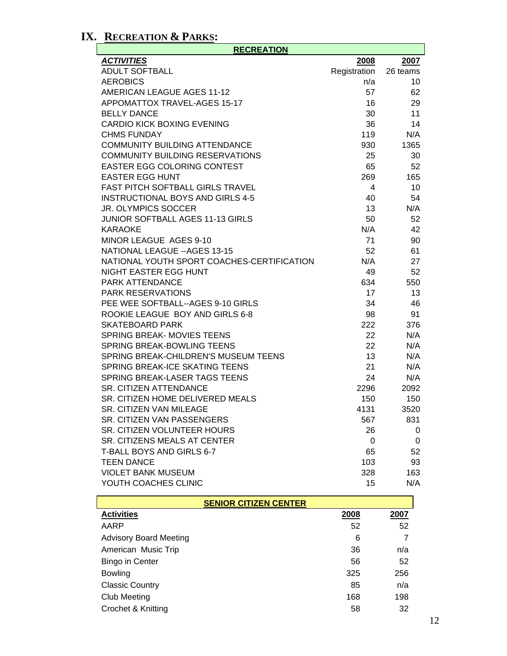# **IX. RECREATION & PARKS:**

| <b>RECREATION</b>                          |              |          |  |  |
|--------------------------------------------|--------------|----------|--|--|
| <b>ACTIVITIES</b>                          | 2008         | 2007     |  |  |
| <b>ADULT SOFTBALL</b>                      | Registration | 26 teams |  |  |
| <b>AEROBICS</b>                            | n/a          | 10       |  |  |
| AMERICAN LEAGUE AGES 11-12                 | 57           | 62       |  |  |
| APPOMATTOX TRAVEL-AGES 15-17               | 16           | 29       |  |  |
| <b>BELLY DANCE</b>                         | 30           | 11       |  |  |
| <b>CARDIO KICK BOXING EVENING</b>          | 36           | 14       |  |  |
| <b>CHMS FUNDAY</b>                         | 119          | N/A      |  |  |
| <b>COMMUNITY BUILDING ATTENDANCE</b>       | 930          | 1365     |  |  |
| <b>COMMUNITY BUILDING RESERVATIONS</b>     | 25           | 30       |  |  |
| <b>EASTER EGG COLORING CONTEST</b>         | 65           | 52       |  |  |
| <b>EASTER EGG HUNT</b>                     | 269          | 165      |  |  |
| FAST PITCH SOFTBALL GIRLS TRAVEL           | 4            | 10       |  |  |
| <b>INSTRUCTIONAL BOYS AND GIRLS 4-5</b>    | 40           | 54       |  |  |
| <b>JR. OLYMPICS SOCCER</b>                 | 13           | N/A      |  |  |
| <b>JUNIOR SOFTBALL AGES 11-13 GIRLS</b>    | 50           | 52       |  |  |
| <b>KARAOKE</b>                             | N/A          | 42       |  |  |
| MINOR LEAGUE AGES 9-10                     | 71           | 90       |  |  |
| <b>NATIONAL LEAGUE -- AGES 13-15</b>       | 52           | 61       |  |  |
| NATIONAL YOUTH SPORT COACHES-CERTIFICATION | N/A          | 27       |  |  |
| NIGHT EASTER EGG HUNT                      | 49           | 52       |  |  |
| <b>PARK ATTENDANCE</b>                     | 634          | 550      |  |  |
| <b>PARK RESERVATIONS</b>                   | 17           | 13       |  |  |
| PEE WEE SOFTBALL--AGES 9-10 GIRLS          | 34           | 46       |  |  |
| ROOKIE LEAGUE BOY AND GIRLS 6-8            | 98           | 91       |  |  |
| <b>SKATEBOARD PARK</b>                     | 222          | 376      |  |  |
| SPRING BREAK- MOVIES TEENS                 | 22           | N/A      |  |  |
| <b>SPRING BREAK-BOWLING TEENS</b>          | 22           | N/A      |  |  |
| SPRING BREAK-CHILDREN'S MUSEUM TEENS       | 13           | N/A      |  |  |
| SPRING BREAK-ICE SKATING TEENS             | 21           | N/A      |  |  |
| SPRING BREAK-LASER TAGS TEENS              | 24           | N/A      |  |  |
| <b>SR. CITIZEN ATTENDANCE</b>              | 2296         | 2092     |  |  |
| SR. CITIZEN HOME DELIVERED MEALS           | 150          | 150      |  |  |
| <b>SR. CITIZEN VAN MILEAGE</b>             | 4131         | 3520     |  |  |
| SR. CITIZEN VAN PASSENGERS                 | 567          | 831      |  |  |
| SR. CITIZEN VOLUNTEER HOURS                | 26           | 0        |  |  |
| SR. CITIZENS MEALS AT CENTER               | 0            | 0        |  |  |
| T-BALL BOYS AND GIRLS 6-7                  | 65           | 52       |  |  |
| <b>TEEN DANCE</b>                          | 103          | 93       |  |  |
| <b>VIOLET BANK MUSEUM</b>                  | 328          | 163      |  |  |
| YOUTH COACHES CLINIC                       | 15           | N/A      |  |  |

| <b>SENIOR CITIZEN CENTER</b>  |      |      |  |  |
|-------------------------------|------|------|--|--|
| <b>Activities</b>             | 2008 | 2007 |  |  |
| AARP                          | 52   | 52   |  |  |
| <b>Advisory Board Meeting</b> | 6    |      |  |  |
| American Music Trip           | 36   | n/a  |  |  |
| Bingo in Center               | 56   | 52   |  |  |
| <b>Bowling</b>                | 325  | 256  |  |  |
| <b>Classic Country</b>        | 85   | n/a  |  |  |
| Club Meeting                  | 168  | 198  |  |  |
| Crochet & Knitting            | 58   | 32   |  |  |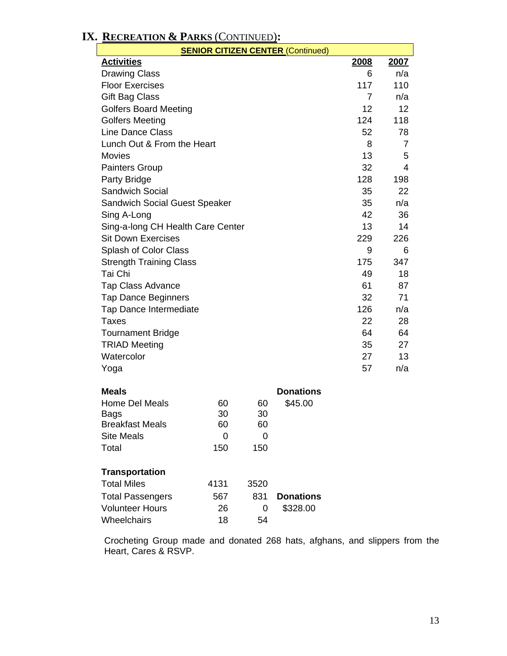| <b>SENIOR CITIZEN CENTER (Continued)</b> |      |                |                  |                |      |
|------------------------------------------|------|----------------|------------------|----------------|------|
| <b>Activities</b>                        |      |                |                  | 2008           | 2007 |
| <b>Drawing Class</b>                     |      |                |                  | 6              | n/a  |
| <b>Floor Exercises</b>                   |      |                |                  | 117            | 110  |
| Gift Bag Class                           |      |                |                  | $\overline{7}$ | n/a  |
| <b>Golfers Board Meeting</b>             |      |                |                  | 12             | 12   |
| <b>Golfers Meeting</b>                   |      |                |                  | 124            | 118  |
| <b>Line Dance Class</b>                  |      |                |                  | 52             | 78   |
| Lunch Out & From the Heart               |      |                |                  | 8              | 7    |
| <b>Movies</b>                            |      |                |                  | 13             | 5    |
| <b>Painters Group</b>                    |      |                |                  | 32             | 4    |
| Party Bridge                             |      |                |                  | 128            | 198  |
| <b>Sandwich Social</b>                   |      |                |                  | 35             | 22   |
| <b>Sandwich Social Guest Speaker</b>     |      |                |                  | 35             | n/a  |
| Sing A-Long                              |      |                |                  | 42             | 36   |
| Sing-a-long CH Health Care Center        |      |                |                  | 13             | 14   |
| <b>Sit Down Exercises</b>                |      |                |                  | 229            | 226  |
| Splash of Color Class                    |      |                |                  | 9              | 6    |
| <b>Strength Training Class</b>           |      |                |                  | 175            | 347  |
| Tai Chi                                  |      |                |                  | 49             | 18   |
| Tap Class Advance                        |      |                |                  | 61             | 87   |
| <b>Tap Dance Beginners</b>               |      |                |                  | 32             | 71   |
| Tap Dance Intermediate                   |      |                |                  | 126            | n/a  |
| <b>Taxes</b>                             |      |                |                  | 22             | 28   |
| <b>Tournament Bridge</b>                 |      |                |                  | 64             | 64   |
| <b>TRIAD Meeting</b>                     |      |                |                  | 35             | 27   |
| Watercolor                               |      |                |                  | 27             | 13   |
| Yoga                                     |      |                |                  | 57             | n/a  |
| <b>Meals</b>                             |      |                | <b>Donations</b> |                |      |
| <b>Home Del Meals</b>                    | 60   | 60             | \$45.00          |                |      |
| <b>Bags</b>                              | 30   | 30             |                  |                |      |
| <b>Breakfast Meals</b>                   | 60   | 60             |                  |                |      |
| <b>Site Meals</b>                        | 0    | $\overline{0}$ |                  |                |      |
| Total                                    | 150  | 150            |                  |                |      |
| <b>Transportation</b>                    |      |                |                  |                |      |
| <b>Total Miles</b>                       | 4131 | 3520           |                  |                |      |
| <b>Total Passengers</b>                  | 567  | 831            | <b>Donations</b> |                |      |
| <b>Volunteer Hours</b>                   | 26   | 0              | \$328.00         |                |      |
| Wheelchairs                              | 18   | 54             |                  |                |      |
|                                          |      |                |                  |                |      |

**IX. RECREATION & PARKS** (CONTINUED)**:** 

Crocheting Group made and donated 268 hats, afghans, and slippers from the Heart, Cares & RSVP.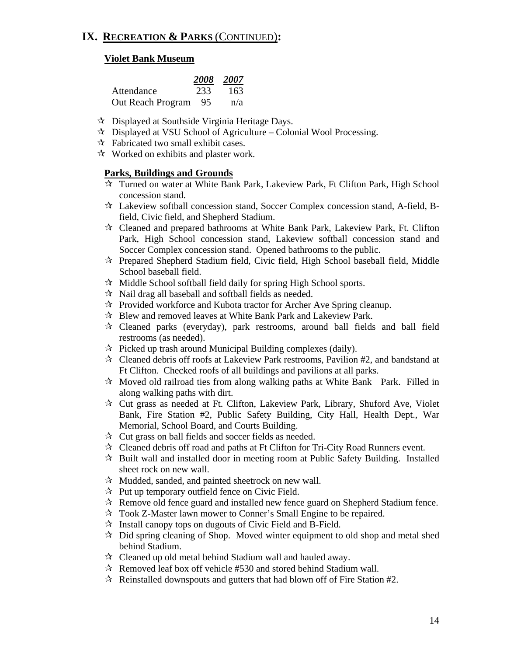# **IX. RECREATION & PARKS** (CONTINUED)**:**

#### **Violet Bank Museum**

|                      |     | 2008 2007 |
|----------------------|-----|-----------|
| Attendance           | 233 | 163       |
| Out Reach Program 95 |     | n/a       |

- Displayed at Southside Virginia Heritage Days.
- $\star$  Displayed at VSU School of Agriculture Colonial Wool Processing.
- $\mathcal{R}$  Fabricated two small exhibit cases.
- $\mathcal{R}$  Worked on exhibits and plaster work.

#### **Parks, Buildings and Grounds**

- Turned on water at White Bank Park, Lakeview Park, Ft Clifton Park, High School concession stand.
- Lakeview softball concession stand, Soccer Complex concession stand, A-field, Bfield, Civic field, and Shepherd Stadium.
- Cleaned and prepared bathrooms at White Bank Park, Lakeview Park, Ft. Clifton Park, High School concession stand, Lakeview softball concession stand and Soccer Complex concession stand. Opened bathrooms to the public.
- $\mathcal{R}$  Prepared Shepherd Stadium field, Civic field, High School baseball field, Middle School baseball field.
- $\mathbf{\hat{x}}$  Middle School softball field daily for spring High School sports.
- $\mathcal{R}$  Nail drag all baseball and softball fields as needed.
- $\mathcal{R}$  Provided workforce and Kubota tractor for Archer Ave Spring cleanup.
- Blew and removed leaves at White Bank Park and Lakeview Park.
- $\mathcal{R}$  Cleaned parks (everyday), park restrooms, around ball fields and ball field restrooms (as needed).
- $\mathcal{R}$  Picked up trash around Municipal Building complexes (daily).
- Cleaned debris off roofs at Lakeview Park restrooms, Pavilion #2, and bandstand at Ft Clifton. Checked roofs of all buildings and pavilions at all parks.
- $\mathcal{R}$  Moved old railroad ties from along walking paths at White Bank Park. Filled in along walking paths with dirt.
- $\mathcal{R}$  Cut grass as needed at Ft. Clifton, Lakeview Park, Library, Shuford Ave, Violet Bank, Fire Station #2, Public Safety Building, City Hall, Health Dept., War Memorial, School Board, and Courts Building.
- $\mathcal{R}$  Cut grass on ball fields and soccer fields as needed.
- $\mathcal{R}$  Cleaned debris off road and paths at Ft Clifton for Tri-City Road Runners event.
- $\mathcal{R}$  Built wall and installed door in meeting room at Public Safety Building. Installed sheet rock on new wall.
- $\mathcal{R}$  Mudded, sanded, and painted sheetrock on new wall.
- $\mathcal{R}$  Put up temporary outfield fence on Civic Field.
- $\mathcal{R}$  Remove old fence guard and installed new fence guard on Shepherd Stadium fence.
- Took Z-Master lawn mower to Conner's Small Engine to be repaired.
- $\mathcal{R}$  Install canopy tops on dugouts of Civic Field and B-Field.
- $\star$  Did spring cleaning of Shop. Moved winter equipment to old shop and metal shed behind Stadium.
- $\mathcal{R}$  Cleaned up old metal behind Stadium wall and hauled away.
- $\approx$  Removed leaf box off vehicle #530 and stored behind Stadium wall.
- $\mathcal{R}$  Reinstalled downspouts and gutters that had blown off of Fire Station #2.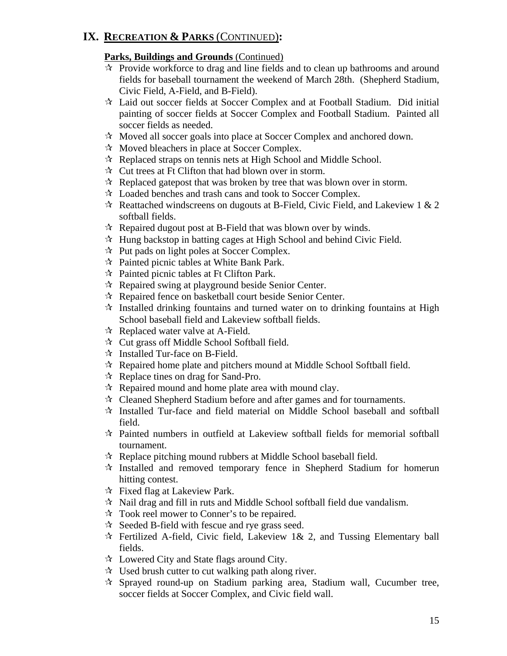# **IX. RECREATION & PARKS** (CONTINUED)**:**

# **Parks, Buildings and Grounds** (Continued)

- $\vec{x}$  Provide workforce to drag and line fields and to clean up bathrooms and around fields for baseball tournament the weekend of March 28th. (Shepherd Stadium, Civic Field, A-Field, and B-Field).
- Laid out soccer fields at Soccer Complex and at Football Stadium. Did initial painting of soccer fields at Soccer Complex and Football Stadium. Painted all soccer fields as needed.
- Moved all soccer goals into place at Soccer Complex and anchored down.
- $\mathcal{R}$  Moved bleachers in place at Soccer Complex.
- $\mathcal{R}$  Replaced straps on tennis nets at High School and Middle School.
- $\mathcal{R}$  Cut trees at Ft Clifton that had blown over in storm.
- $\mathcal{R}$  Replaced gatepost that was broken by tree that was blown over in storm.
- Loaded benches and trash cans and took to Soccer Complex.
- $\star$  Reattached windscreens on dugouts at B-Field, Civic Field, and Lakeview 1 & 2 softball fields.
- $\mathcal{R}$  Repaired dugout post at B-Field that was blown over by winds.
- $\mathcal{A}$  Hung backstop in batting cages at High School and behind Civic Field.
- $\mathcal{R}$  Put pads on light poles at Soccer Complex.
- $\mathcal{R}$  Painted picnic tables at White Bank Park.
- $\mathcal{R}$  Painted picnic tables at Ft Clifton Park.
- $\mathcal{R}$  Repaired swing at playground beside Senior Center.
- $\mathcal{R}$  Repaired fence on basketball court beside Senior Center.
- $\vec{x}$  Installed drinking fountains and turned water on to drinking fountains at High School baseball field and Lakeview softball fields.
- $\mathcal{R}$  Replaced water valve at A-Field.
- $\mathcal{R}$  Cut grass off Middle School Softball field.
- $\mathcal{A}$  Installed Tur-face on B-Field.
- $\mathcal{R}$  Repaired home plate and pitchers mound at Middle School Softball field.
- $\mathcal{R}$  Replace tines on drag for Sand-Pro.
- $\mathcal{R}$  Repaired mound and home plate area with mound clay.
- $\lambda$  Cleaned Shepherd Stadium before and after games and for tournaments.
- $\hat{x}$  Installed Tur-face and field material on Middle School baseball and softball field.
- $\mathcal{R}$  Painted numbers in outfield at Lakeview softball fields for memorial softball tournament.
- $\mathcal{R}$  Replace pitching mound rubbers at Middle School baseball field.
- $\mathcal{R}$  Installed and removed temporary fence in Shepherd Stadium for homerun hitting contest.
- $\forall$  Fixed flag at Lakeview Park.
- $\hat{x}$  Nail drag and fill in ruts and Middle School softball field due vandalism.
- $\mathcal{R}$  Took reel mower to Conner's to be repaired.
- $\approx$  Seeded B-field with fescue and rye grass seed.
- $\mathcal{R}$  Fertilized A-field, Civic field, Lakeview 1& 2, and Tussing Elementary ball fields.
- $\mathcal{R}$  Lowered City and State flags around City.
- $\mathcal{A}$  Used brush cutter to cut walking path along river.
- $\mathcal{R}$  Sprayed round-up on Stadium parking area, Stadium wall, Cucumber tree, soccer fields at Soccer Complex, and Civic field wall.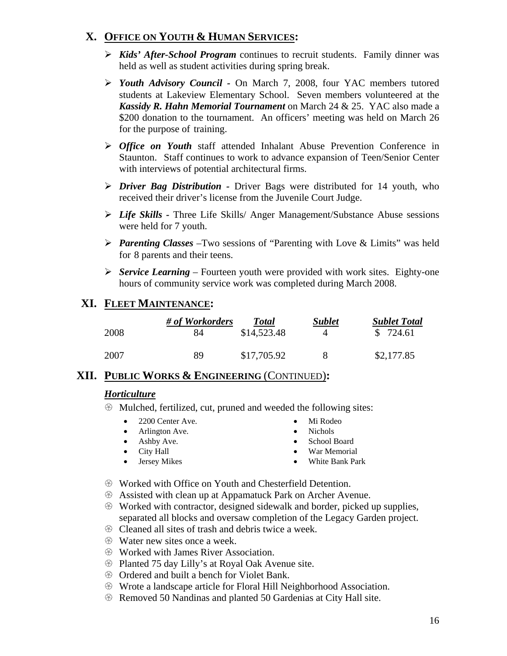# **X. OFFICE ON YOUTH & HUMAN SERVICES:**

- ¾ *Kids' After-School Program* continues to recruit students. Family dinner was held as well as student activities during spring break.
- ¾ *Youth Advisory Council* On March 7, 2008, four YAC members tutored students at Lakeview Elementary School. Seven members volunteered at the *Kassidy R. Hahn Memorial Tournament* on March 24 & 25. YAC also made a \$200 donation to the tournament. An officers' meeting was held on March 26 for the purpose of training.
- ¾ *Office on Youth* staff attended Inhalant Abuse Prevention Conference in Staunton. Staff continues to work to advance expansion of Teen/Senior Center with interviews of potential architectural firms.
- ¾ *Driver Bag Distribution* Driver Bags were distributed for 14 youth, who received their driver's license from the Juvenile Court Judge.
- ¾ *Life Skills* Three Life Skills/ Anger Management/Substance Abuse sessions were held for 7 youth.
- ¾ *Parenting Classes* –Two sessions of "Parenting with Love & Limits" was held for 8 parents and their teens.
- ¾ *Service Learning*  Fourteen youth were provided with work sites. Eighty-one hours of community service work was completed during March 2008.

# **XI. FLEET MAINTENANCE:**

| 2008 | # of Workorders | <b>Total</b> | <b>Sublet</b> | <b>Sublet Total</b> |
|------|-----------------|--------------|---------------|---------------------|
|      | 84              | \$14,523.48  | 4             | \$724.61            |
| 2007 | 89              | \$17,705.92  | x             | \$2,177.85          |

## **XII. PUBLIC WORKS & ENGINEERING** (CONTINUED)**:**

#### *Horticulture*

- $\circledast$  Mulched, fertilized, cut, pruned and weeded the following sites:
	- 2200 Center Ave. Mi Rodeo
	- Arlington Ave. Nichols
	- Ashby Ave. School Board
- 
- 

- 
- City Hall War Memorial • Jersey Mikes • White Bank Park
- $\circledast$  Worked with Office on Youth and Chesterfield Detention.
- **EXECUTE:** Assisted with clean up at Appamatuck Park on Archer Avenue.
- $\circledast$  Worked with contractor, designed sidewalk and border, picked up supplies, separated all blocks and oversaw completion of the Legacy Garden project.
- $\circledR$  Cleaned all sites of trash and debris twice a week.
- $\circled{$  Water new sites once a week.
- **Worked with James River Association.**
- **EXECUTE:** Planted 75 day Lilly's at Royal Oak Avenue site.
- $\circledR$  Ordered and built a bench for Violet Bank.
- $\circledast$  Wrote a landscape article for Floral Hill Neighborhood Association.
- $\circledR$  Removed 50 Nandinas and planted 50 Gardenias at City Hall site.
- 
- 
- 
-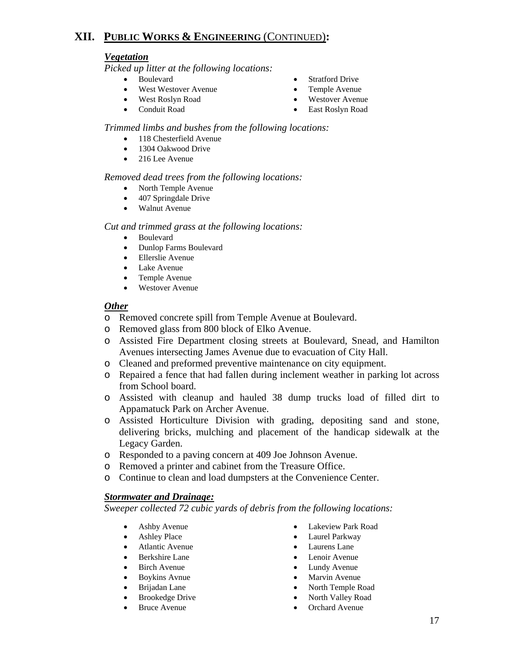# **XII. PUBLIC WORKS & ENGINEERING** (CONTINUED)**:**

#### *Vegetation*

*Picked up litter at the following locations:* 

- 
- West Westover Avenue Temple Avenue
- West Roslyn Road Westover Avenue
- 
- Boulevard Stratford Drive
	-
	-
- Conduit Road East Roslyn Road

#### *Trimmed limbs and bushes from the following locations:*

- 118 Chesterfield Avenue
- 1304 Oakwood Drive
- 216 Lee Avenue

#### *Removed dead trees from the following locations:*

- North Temple Avenue
- 407 Springdale Drive
- Walnut Avenue

#### *Cut and trimmed grass at the following locations:*

- Boulevard
- Dunlop Farms Boulevard
- Ellerslie Avenue
- Lake Avenue
- Temple Avenue
- Westover Avenue

#### *Other*

- o Removed concrete spill from Temple Avenue at Boulevard.
- o Removed glass from 800 block of Elko Avenue.
- o Assisted Fire Department closing streets at Boulevard, Snead, and Hamilton Avenues intersecting James Avenue due to evacuation of City Hall.
- o Cleaned and preformed preventive maintenance on city equipment.
- o Repaired a fence that had fallen during inclement weather in parking lot across from School board.
- o Assisted with cleanup and hauled 38 dump trucks load of filled dirt to Appamatuck Park on Archer Avenue.
- o Assisted Horticulture Division with grading, depositing sand and stone, delivering bricks, mulching and placement of the handicap sidewalk at the Legacy Garden.
- o Responded to a paving concern at 409 Joe Johnson Avenue.
- o Removed a printer and cabinet from the Treasure Office.
- o Continue to clean and load dumpsters at the Convenience Center.

#### *Stormwater and Drainage:*

*Sweeper collected 72 cubic yards of debris from the following locations:*

- 
- 
- Atlantic Avenue Laurens Lane
- 
- 
- 
- 
- 
- 
- Ashby Avenue Lakeview Park Road
- Ashley Place Laurel Parkway
	-
- Berkshire Lane Lenoir Avenue
- Birch Avenue Lundy Avenue
	- Boykins Avnue Marvin Avenue
	- Brijadan Lane North Temple Road
	- Brookedge Drive North Valley Road
	- Bruce Avenue Orchard Avenue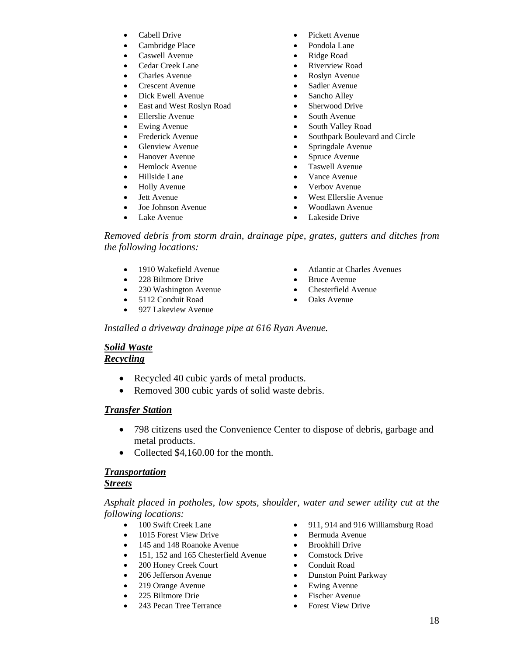- 
- Cambridge Place Pondola Lane
- Caswell Avenue Ridge Road
- 
- 
- 
- 
- East and West Roslyn Road Sherwood Drive
- Ellerslie Avenue South Avenue
- 
- 
- 
- 
- 
- 
- 
- 
- 
- 
- Cabell Drive Pickett Avenue
	-
	-
- Cedar Creek Lane Riverview Road
- Charles Avenue Roslyn Avenue
- Crescent Avenue Sadler Avenue
- Dick Ewell Avenue Sancho Alley
	-
	-
- Ewing Avenue South Valley Road
- Frederick Avenue Southpark Boulevard and Circle
- Glenview Avenue Springdale Avenue
- Hanover Avenue Spruce Avenue
- Hemlock Avenue Taswell Avenue
- Hillside Lane Vance Avenue
- Holly Avenue Verbov Avenue
- Jett Avenue West Ellerslie Avenue
- Joe Johnson Avenue Woodlawn Avenue
- Lake Avenue Lakeside Drive

*Removed debris from storm drain, drainage pipe, grates, gutters and ditches from the following locations:* 

- 
- 228 Biltmore Drive Bruce Avenue
- 230 Washington Avenue Chesterfield Avenue
- 5112 Conduit Road Oaks Avenue
- 927 Lakeview Avenue
- 1910 Wakefield Avenue Atlantic at Charles Avenues
	-
	-
	-

 *Installed a driveway drainage pipe at 616 Ryan Avenue.* 

#### *Solid Waste*

#### *Recycling*

- Recycled 40 cubic yards of metal products.
- Removed 300 cubic yards of solid waste debris.

#### *Transfer Station*

- 798 citizens used the Convenience Center to dispose of debris, garbage and metal products.
- Collected \$4,160.00 for the month.

#### *Transportation*

#### *Streets*

#### *Asphalt placed in potholes, low spots, shoulder, water and sewer utility cut at the following locations:*

- 
- 1015 Forest View Drive Bermuda Avenue
- 145 and 148 Roanoke Avenue Brookhill Drive
- 151, 152 and 165 Chesterfield Avenue Comstock Drive
- 200 Honey Creek Court Conduit Road
- 
- 219 Orange Avenue Ewing Avenue
- 
- 243 Pecan Tree Terrance Forest View Drive
- 100 Swift Creek Lane 911, 914 and 916 Williamsburg Road
	-
	-
	-
	-
	- 206 Jefferson Avenue Dunston Point Parkway
		-
	- 225 Biltmore Drie Fischer Avenue
		-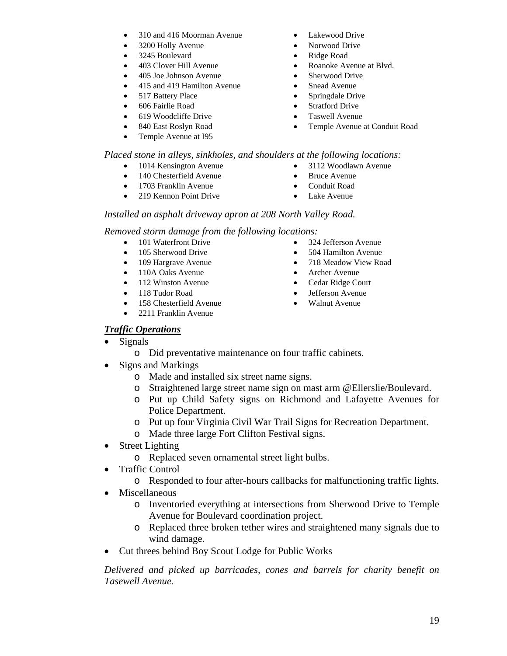- 310 and 416 Moorman Avenue Lakewood Drive
- 
- 3245 Boulevard Ridge Road
- 
- 405 Joe Johnson Avenue Sherwood Drive
- 415 and 419 Hamilton Avenue Snead Avenue
- 
- 
- 
- Temple Avenue at I95
- 
- 3200 Holly Avenue Norwood Drive
	-
- 403 Clover Hill Avenue Roanoke Avenue at Blvd.
	-
	-
- 517 Battery Place Springdale Drive
- 606 Fairlie Road Stratford Drive
- 619 Woodcliffe Drive Taswell Avenue
- 840 East Roslyn Road Temple Avenue at Conduit Road

*Placed stone in alleys, sinkholes, and shoulders at the following locations:* 

- 1014 Kensington Avenue 3112 Woodlawn Avenue
- 140 Chesterfield Avenue Bruce Avenue
- 1703 Franklin Avenue Conduit Road
- 219 Kennon Point Drive Lake Avenue
- 
- 
- 

#### *Installed an asphalt driveway apron at 208 North Valley Road.*

*Removed storm damage from the following locations:*

- 
- 105 Sherwood Drive 504 Hamilton Avenue
- 
- 110A Oaks Avenue Archer Avenue
- 112 Winston Avenue Cedar Ridge Court
- 
- 158 Chesterfield Avenue Walnut Avenue
- 2211 Franklin Avenue
- 101 Waterfront Drive 324 Jefferson Avenue
	-
- 109 Hargrave Avenue 718 Meadow View Road
	-
	-
	- 118 Tudor Road Jefferson Avenue
		-

#### *Traffic Operations*

- Signals
	- o Did preventative maintenance on four traffic cabinets.
- Signs and Markings
	- o Made and installed six street name signs.
	- o Straightened large street name sign on mast arm @Ellerslie/Boulevard.
	- o Put up Child Safety signs on Richmond and Lafayette Avenues for Police Department.
	- o Put up four Virginia Civil War Trail Signs for Recreation Department.
	- o Made three large Fort Clifton Festival signs.
- Street Lighting
	- o Replaced seven ornamental street light bulbs.
- Traffic Control
	- o Responded to four after-hours callbacks for malfunctioning traffic lights.
- Miscellaneous
	- o Inventoried everything at intersections from Sherwood Drive to Temple Avenue for Boulevard coordination project.
	- o Replaced three broken tether wires and straightened many signals due to wind damage.
- Cut threes behind Boy Scout Lodge for Public Works

 *Delivered and picked up barricades, cones and barrels for charity benefit on Tasewell Avenue.*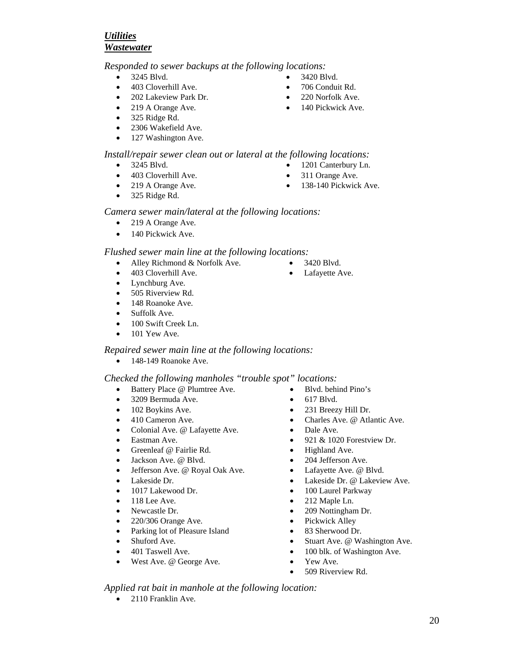#### *Utilities Wastewater*

 *Responded to sewer backups at the following locations:* 

- 
- 403 Cloverhill Ave. 706 Conduit Rd.
- 202 Lakeview Park Dr. 220 Norfolk Ave.
- 
- 325 Ridge Rd.
- 2306 Wakefield Ave.
- 127 Washington Ave.

#### *Install/repair sewer clean out or lateral at the following locations:*

- 
- 403 Cloverhill Ave. 311 Orange Ave.
- 
- 325 Ridge Rd.
- 3245 Blvd. 3420 Blvd.
	-
	-
- 219 A Orange Ave. 140 Pickwick Ave.

- 
- 
- 
- 
- 3245 Blvd. 1201 Canterbury Ln.
	-
- 219 A Orange Ave. 138-140 Pickwick Ave.

#### *Camera sewer main/lateral at the following locations:*

- 219 A Orange Ave.
- 140 Pickwick Ave.

#### *Flushed sewer main line at the following locations:*

- Alley Richmond & Norfolk Ave. 3420 Blvd.
- 403 Cloverhill Ave. Lafayette Ave.
- Lynchburg Ave.
- 505 Riverview Rd.
- 148 Roanoke Ave.
- Suffolk Ave.
- 100 Swift Creek Ln.
- $\bullet$  101 Yew Ave.

#### *Repaired sewer main line at the following locations:*

• 148-149 Roanoke Ave.

#### *Checked the following manholes "trouble spot" locations:*

- Battery Place @ Plumtree Ave. Blvd. behind Pino's
- 3209 Bermuda Ave.
- 102 Boykins Ave.
- 410 Cameron Ave.
- Colonial Ave. @ Lafayette Ave.
- Eastman Ave.
- Greenleaf @ Fairlie Rd.
- Jackson Ave. @ Blvd.
- Jefferson Ave. @ Royal Oak Ave.
- Lakeside Dr.
- 1017 Lakewood Dr.
- $\bullet$  118 Lee Ave.
- Newcastle Dr.
- 220/306 Orange Ave.
- Parking lot of Pleasure Island
- Shuford Ave.
- 401 Taswell Ave.
- West Ave. @ George Ave.
- 
- 
- 

- 
- 617 Blvd.
- 231 Breezy Hill Dr.
- Charles Ave. @ Atlantic Ave.
- Dale Ave.
- 921 & 1020 Forestview Dr.
- Highland Ave.
- 204 Jefferson Ave.
- Lafayette Ave. @ Blvd.
- Lakeside Dr. @ Lakeview Ave.
- 100 Laurel Parkway
- 212 Maple Ln.
- 209 Nottingham Dr.
- Pickwick Alley
- 83 Sherwood Dr.
- Stuart Ave. @ Washington Ave.
- 100 blk. of Washington Ave.
- Yew Ave.
- 509 Riverview Rd.

 *Applied rat bait in manhole at the following location:* 

• 2110 Franklin Ave.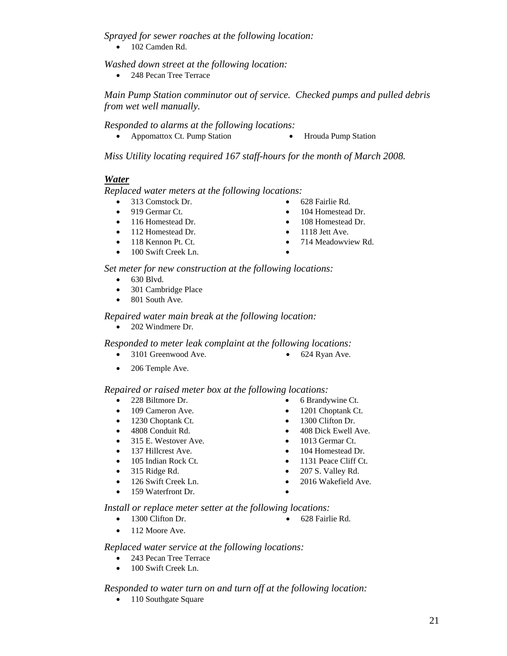*Sprayed for sewer roaches at the following location:* 

• 102 Camden Rd.

 *Washed down street at the following location:* 

• 248 Pecan Tree Terrace

 *Main Pump Station comminutor out of service. Checked pumps and pulled debris from wet well manually.* 

 *Responded to alarms at the following locations:* 

• Appomattox Ct. Pump Station • Hrouda Pump Station

 *Miss Utility locating required 167 staff-hours for the month of March 2008.*

#### *Water*

 *Replaced water meters at the following locations:* 

- 313 Comstock Dr. 628 Fairlie Rd.
- 
- 
- 112 Homestead Dr. 1118 Jett Ave.
- 
- 100 Swift Creek Ln.
- 
- 919 Germar Ct. 104 Homestead Dr.
- 116 Homestead Dr. 108 Homestead Dr.
	-
- 118 Kennon Pt. Ct. 714 Meadowview Rd.
	-

 *Set meter for new construction at the following locations:* 

- 630 Blvd.
- 301 Cambridge Place
- 801 South Ave.

#### *Repaired water main break at the following location:*

• 202 Windmere Dr.

 *Responded to meter leak complaint at the following locations:* 

- 3101 Greenwood Ave. 624 Ryan Ave.
- 

• 206 Temple Ave.

#### *Repaired or raised meter box at the following locations:*

- 
- 
- 1230 Choptank Ct. 1300 Clifton Dr.
- 
- 315 E. Westover Ave. 1013 Germar Ct.
- 
- 
- 
- 
- 159 Waterfront Dr.
- 
- 
- 
- 4808 Conduit Rd. 408 Dick Ewell Ave.
	-
- 137 Hillcrest Ave. 104 Homestead Dr.
- 105 Indian Rock Ct. 1131 Peace Cliff Ct.
- 315 Ridge Rd. 207 S. Valley Rd.
- 126 Swift Creek Ln. 2016 Wakefield Ave.

 *Install or replace meter setter at the following locations:* 

- 1300 Clifton Dr. 628 Fairlie Rd.
	-

• 112 Moore Ave.

 *Replaced water service at the following locations:* 

- 243 Pecan Tree Terrace
- 100 Swift Creek Ln.

 *Responded to water turn on and turn off at the following location:* 

• 110 Southgate Square

- -
- 
- 228 Biltmore Dr. 6 Brandywine Ct.
- 109 Cameron Ave. 1201 Choptank Ct.
	-
	-
	-
	-
	-
	-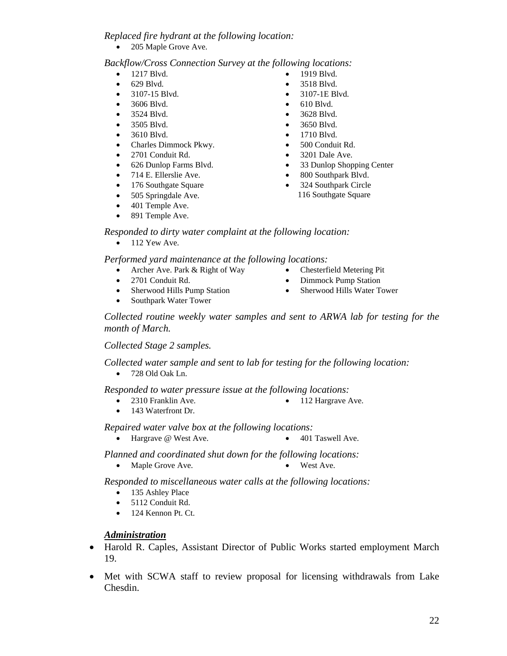#### *Replaced fire hydrant at the following location:*

205 Maple Grove Ave.

#### *Backflow/Cross Connection Survey at the following locations:*

- 1217 Blvd. 1919 Blvd.
- 629 Blvd. 3518 Blvd.
- 3107-15 Blvd. 3107-1E Blvd.
- 3606 Blvd. 610 Blvd.
- 3524 Blvd. 3628 Blvd.
- 
- 
- Charles Dimmock Pkwy. 500 Conduit Rd.
- 2701 Conduit Rd. 3201 Dale Ave.
- 
- 
- 176 Southgate Square 324 Southpark Circle
- 505 Springdale Ave. 116 Southgate Square
- 401 Temple Ave.
- 891 Temple Ave.
- 
- 
- 
- 
- 
- 3505 Blvd. 3650 Blvd.
- 3610 Blvd. 1710 Blvd.
	-
	-
- 626 Dunlop Farms Blvd. 33 Dunlop Shopping Center
- 714 E. Ellerslie Ave. 800 Southpark Blvd.
	-
- *Responded to dirty water complaint at the following location:*   $\bullet$  112 Yew Ave.

 *Performed yard maintenance at the following locations:* 

- Archer Ave. Park & Right of Way Chesterfield Metering Pit
- 
- 
- Southpark Water Tower
- 2701 Conduit Rd. Dimmock Pump Station
- Sherwood Hills Pump Station Sherwood Hills Water Tower

 *Collected routine weekly water samples and sent to ARWA lab for testing for the month of March.* 

 *Collected Stage 2 samples.* 

 *Collected water sample and sent to lab for testing for the following location:* 

• 728 Old Oak Ln.

 *Responded to water pressure issue at the following locations:* 

- 2310 Franklin Ave. 112 Hargrave Ave.
- 143 Waterfront Dr.

 *Repaired water valve box at the following locations:* 

• Hargrave @ West Ave. • 401 Taswell Ave.

 *Planned and coordinated shut down for the following locations:* 

• Maple Grove Ave. • West Ave.

 *Responded to miscellaneous water calls at the following locations:* 

- 135 Ashley Place
- 5112 Conduit Rd.
- 124 Kennon Pt. Ct.

#### *Administration*

- Harold R. Caples, Assistant Director of Public Works started employment March 19.
- Met with SCWA staff to review proposal for licensing withdrawals from Lake Chesdin.